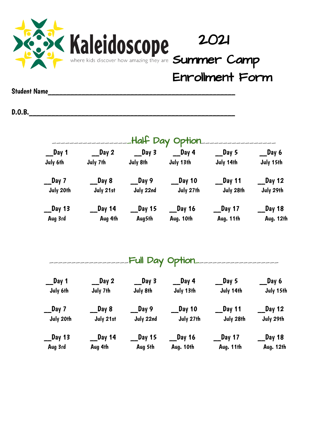

Enrollment Form

Student Name\_\_\_\_\_\_\_\_\_\_\_\_\_\_\_\_\_\_\_\_\_\_\_\_\_\_\_\_\_\_\_\_\_\_\_\_\_\_\_\_\_\_\_\_\_\_\_\_\_\_

D.O.B.\_\_\_\_\_\_\_\_\_\_\_\_\_\_\_\_\_\_\_\_\_\_\_\_\_\_\_\_\_\_\_\_\_\_\_\_\_\_\_\_\_\_\_\_\_\_\_\_\_\_\_\_\_\_\_

|                  |                  |                                                              | Half Day Option                                         |                                       |                   |
|------------------|------------------|--------------------------------------------------------------|---------------------------------------------------------|---------------------------------------|-------------------|
| $\sqrt{2}$ Day 1 |                  | $\begin{array}{ccc} \text{Day 2} & \text{Day 3} \end{array}$ | $\_$ Day 4                                              | $\sqrt{2}$ Day 5                      | $\sqrt{2}$ Day 6  |
| July 6th         | July 7th         | July 8th                                                     | July 13th                                               | July 14th                             | July 15th         |
| _Day 7           | $\_\_$ Day 8     | $\sqrt{2}$ Day 9                                             | $\sqrt{2}$ Day 10                                       | $\_$ Day 11                           | $\sqrt{2}$ Day 12 |
| July 20th        | July 21st        | July 22nd                                                    | July 27th                                               | July 28th                             | July 29th         |
| __Day 13         | __Day 14         |                                                              | $\begin{array}{ccc} \text{Day} & 15 \end{array}$ Day 16 | $\_$ Day 17                           | $\sqrt{2}$ Day 18 |
| Aug 3rd          | Aug 4th          |                                                              | Aug5th           Aug. 10th                              | Aug. 11th                             | Aug. 12th         |
|                  |                  |                                                              |                                                         | <u> Full Day Option -------------</u> |                   |
| __Day 1          | $\sqrt{2}$ Day 2 | $\sqrt{2}$ Day 3                                             | $\equiv$ Day 4                                          | $\sqrt{2}$ Day 5                      | $\equiv$ Day 6    |
| July 6th         | July 7th         | July 8th                                                     | July 13th                                               | July 14th                             | July 15th         |
| _Day 7           | __Day 8          | __Day 9                                                      | $\sqrt{2}$ Day 10                                       | $\_$ Day 11                           | $\sqrt{2}$ Day 12 |
| July 20th        | July 21st        | July 22nd                                                    | July 27th                                               | July 28th                             | July 29th         |
| _Day 13          |                  |                                                              |                                                         | $\_$ Day 17                           | $\sqrt{2}$ Day 18 |
| Aug 3rd          | Aug 4th          | Aug 5th                                                      | Aug. 10th                                               | Aug. 11th                             | Aug. 12th         |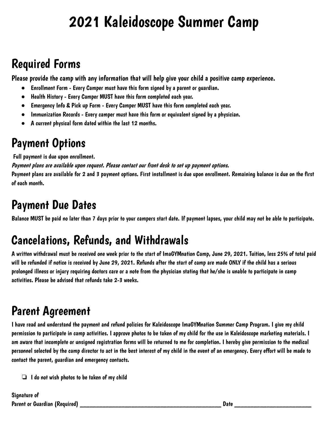# 2021 Kaleidoscope Summer Camp

### Required Forms

Please provide the camp with any information that will help give your child a positive camp experience.

- Enrollment Form Every Camper must have this form signed by a parent or guardian.
- Health History Every Camper MUST have this form completed each year.
- Emergency Info & Pick up Form Every Camper MUST have this form completed each year.
- Immunization Records Every camper must have this form or equivalent signed by a physician.
- A current physical form dated within the last 12 months.

### Payment Options

Full payment is due upon enrollment.

Payment plans are available upon request. Please contact our front desk to set up payment options. Payment plans are available for 2 and 3 payment options. First installment is due upon enrollment. Remaining balance is due on the first of each month.

### Payment Due Dates

Balance MUST be paid no later than 7 days prior to your campers start date. If payment lapses, your child may not be able to participate.

## Cancelations, Refunds, and Withdrawals

A written withdrawal must be received one week prior to the start of ImaGYMnation Camp, June 29, 2021. Tuition, less 25% of total paid will be refunded if notice is received by June 29, 2021. Refunds after the start of camp are made ONLY if the child has a serious prolonged illness or injury requiring doctors care or a note from the physician stating that he/she is unable to participate in camp activities. Please be advised that refunds take 2-3 weeks.

## Parent Agreement

I have read and understand the payment and refund policies for Kaleidoscope ImaGYMnation Summer Camp Program. I give my child permission to participate in camp activities. I approve photos to be taken of my child for the use in Kaleidoscope marketing materials. I am aware that incomplete or unsigned registration forms will be returned to me for completion. I hereby give permission to the medical personnel selected by the camp director to act in the best interest of my child in the event of an emergency. Every effort will be made to contact the parent, guardian and emergency contacts.

 $\Box$  I do not wish photos to be taken of my child

Signature of Parent or Guardian (Required) **Exercise 20** at 20 at 20 at 20 at 20 at 20 at 20 at 20 at 20 at 20 at 20 at 20 at 20 at 20 at 20 at 20 at 20 at 20 at 20 at 20 at 20 at 20 at 20 at 20 at 20 at 20 at 20 at 20 at 20 at 20 at 2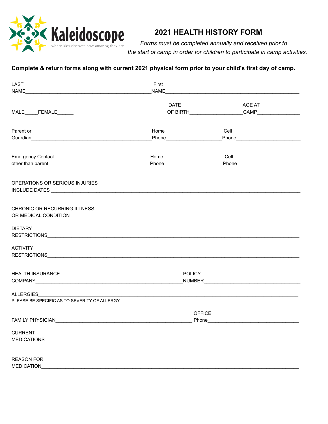

#### **2021 HEALTH HISTORY FORM**

*Forms must be completed annually and received prior to the start of camp in order for children to participate in camp activities.*

#### Complete & return forms along with current 2021 physical form prior to your child's first day of camp.

| LAST                                                                                                                                                                                                                                                        | First                         |                                                    |  |
|-------------------------------------------------------------------------------------------------------------------------------------------------------------------------------------------------------------------------------------------------------------|-------------------------------|----------------------------------------------------|--|
|                                                                                                                                                                                                                                                             |                               |                                                    |  |
|                                                                                                                                                                                                                                                             | <b>DATE</b>                   | AGE AT                                             |  |
| MALE______FEMALE______                                                                                                                                                                                                                                      |                               |                                                    |  |
| Parent or                                                                                                                                                                                                                                                   | Home                          | Cell                                               |  |
| Guardian<br><u>Cuardian</u><br>Cuardian<br>Cuardian<br>Cuardian<br>Cuardian<br>Cuardian<br>Cuardian<br>Cuardian<br>Cuardian<br>Cuardian<br>Cuardian<br>Cuardian  Cuardian  Cuardian  Cuardian  Cuardian II ann an II an II an II an II an II an II an III a | Phone________________________ | Phone <b>Propriet and Phone Propriet and Phone</b> |  |
| <b>Emergency Contact</b>                                                                                                                                                                                                                                    | Home                          | Cell                                               |  |
|                                                                                                                                                                                                                                                             |                               | _Phone_____________________________                |  |
| OPERATIONS OR SERIOUS INJURIES                                                                                                                                                                                                                              |                               |                                                    |  |
|                                                                                                                                                                                                                                                             |                               |                                                    |  |
| CHRONIC OR RECURRING ILLNESS                                                                                                                                                                                                                                |                               |                                                    |  |
|                                                                                                                                                                                                                                                             |                               |                                                    |  |
| <b>DIETARY</b>                                                                                                                                                                                                                                              |                               |                                                    |  |
| <b>ACTIVITY</b>                                                                                                                                                                                                                                             |                               |                                                    |  |
|                                                                                                                                                                                                                                                             |                               |                                                    |  |
| HEALTH INSURANCE                                                                                                                                                                                                                                            | <b>POLICY</b>                 |                                                    |  |
|                                                                                                                                                                                                                                                             |                               |                                                    |  |
|                                                                                                                                                                                                                                                             |                               |                                                    |  |
| PLEASE BE SPECIFIC AS TO SEVERITY OF ALLERGY                                                                                                                                                                                                                |                               |                                                    |  |
| <b>FAMILY PHYSICIAN</b>                                                                                                                                                                                                                                     | <b>OFFICE</b><br>Phone        |                                                    |  |
| <b>CURRENT</b>                                                                                                                                                                                                                                              |                               |                                                    |  |
| <b>MEDICATIONS</b>                                                                                                                                                                                                                                          |                               |                                                    |  |
| <b>REASON FOR</b>                                                                                                                                                                                                                                           |                               |                                                    |  |
| <b>MEDICATION</b>                                                                                                                                                                                                                                           |                               |                                                    |  |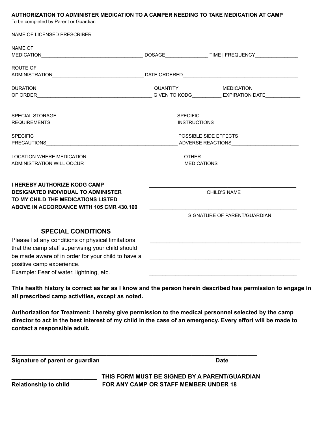#### **AUTHORIZATION TO ADMINISTER MEDICATION TO A CAMPER NEEDING TO TAKE MEDICATION AT CAMP**

To be completed by Parent or Guardian

| <b>NAME OF</b>                                                                    |                 |                                                           |
|-----------------------------------------------------------------------------------|-----------------|-----------------------------------------------------------|
|                                                                                   |                 |                                                           |
| ROUTE OF                                                                          |                 |                                                           |
|                                                                                   |                 |                                                           |
| <b>DURATION</b>                                                                   | QUANTITY        | <b>MEDICATION</b>                                         |
|                                                                                   |                 | GIVEN TO KODG______________ EXPIRATION DATE______________ |
|                                                                                   |                 |                                                           |
| <b>SPECIAL STORAGE</b>                                                            | <b>SPECIFIC</b> |                                                           |
| REQUIREMENTS <b>And CONTENT</b> REQUIREMENTS                                      |                 | INSTRUCTIONS <b>And CONSTRUCTIONS</b>                     |
|                                                                                   |                 |                                                           |
| <b>SPECIFIC</b>                                                                   |                 | POSSIBLE SIDE EFFECTS                                     |
|                                                                                   |                 |                                                           |
| <b>LOCATION WHERE MEDICATION</b>                                                  | <b>OTHER</b>    |                                                           |
|                                                                                   |                 |                                                           |
| <b>I HEREBY AUTHORIZE KODG CAMP</b><br><b>DESIGNATED INDIVIDUAL TO ADMINISTER</b> |                 | <b>CHILD'S NAME</b>                                       |
| TO MY CHILD THE MEDICATIONS LISTED                                                |                 |                                                           |
| ABOVE IN ACCORDANCE WITH 105 CMR 430.160                                          |                 |                                                           |
|                                                                                   |                 | SIGNATURE OF PARENT/GUARDIAN                              |
|                                                                                   |                 |                                                           |
| <b>SPECIAL CONDITIONS</b>                                                         |                 |                                                           |
| Please list any conditions or physical limitations                                |                 |                                                           |
| that the camp staff supervising your child should                                 |                 |                                                           |
| be made aware of in order for your child to have a                                |                 |                                                           |
| positive camp experience.                                                         |                 |                                                           |
|                                                                                   |                 |                                                           |

**Authorization for Treatment: I hereby give permission to the medical personnel selected by the camp** director to act in the best interest of my child in the case of an emergency. Every effort will be made to **contact a responsible adult.**

**\_\_\_\_\_\_\_\_\_\_\_\_\_\_\_\_\_\_\_\_\_\_\_\_\_\_\_\_\_\_\_\_\_\_\_\_\_\_\_\_\_\_\_\_\_\_\_\_\_\_\_\_\_\_\_\_\_\_\_\_\_\_\_\_\_\_\_\_\_\_\_\_\_\_\_**

**Signature of parent or guardian Date**

**\_\_\_\_\_\_\_\_\_\_\_\_\_\_\_\_\_\_\_\_\_\_\_\_\_\_ THIS FORM MUST BE SIGNED BY A PARENT/GUARDIAN Relationship to child FOR ANY CAMP OR STAFF MEMBER UNDER 18**